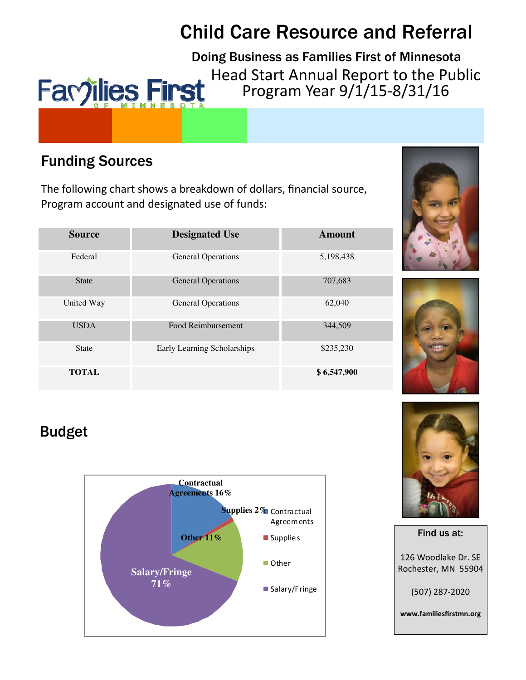# **Child Care Resource and Referral**

Doing Business as Families First of Minnesota Head Start Annual Report to the Public Favjilies First Program Year 9/1/15-8/31/16

# **Funding Sources**

The following chart shows a breakdown of dollars, financial source, Program account and designated use of funds:

| <b>Source</b> | <b>Designated Use</b>       | Amount      |
|---------------|-----------------------------|-------------|
| Federal       | <b>General Operations</b>   | 5,198,438   |
| <b>State</b>  | <b>General Operations</b>   | 707,683     |
| United Way    | <b>General Operations</b>   | 62,040      |
| <b>USDA</b>   | Food Reimbursement          | 344,509     |
| <b>State</b>  | Early Learning Scholarships | \$235,230   |
| <b>TOTAL</b>  |                             | \$6,547,900 |





# **Budget**







www.familiesfirstmn.org